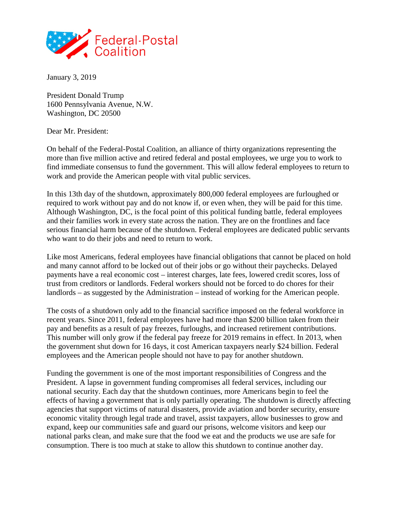

January 3, 2019

President Donald Trump 1600 Pennsylvania Avenue, N.W. Washington, DC 20500

Dear Mr. President:

On behalf of the Federal-Postal Coalition, an alliance of thirty organizations representing the more than five million active and retired federal and postal employees, we urge you to work to find immediate consensus to fund the government. This will allow federal employees to return to work and provide the American people with vital public services.

In this 13th day of the shutdown, approximately 800,000 federal employees are furloughed or required to work without pay and do not know if, or even when, they will be paid for this time. Although Washington, DC, is the focal point of this political funding battle, federal employees and their families work in every state across the nation. They are on the frontlines and face serious financial harm because of the shutdown. Federal employees are dedicated public servants who want to do their jobs and need to return to work.

Like most Americans, federal employees have financial obligations that cannot be placed on hold and many cannot afford to be locked out of their jobs or go without their paychecks. Delayed payments have a real economic cost – interest charges, late fees, lowered credit scores, loss of trust from creditors or landlords. Federal workers should not be forced to do chores for their landlords – as suggested by the Administration – instead of working for the American people.

The costs of a shutdown only add to the financial sacrifice imposed on the federal workforce in recent years. Since 2011, federal employees have had more than \$200 billion taken from their pay and benefits as a result of pay freezes, furloughs, and increased retirement contributions. This number will only grow if the federal pay freeze for 2019 remains in effect. In 2013, when the government shut down for 16 days, it cost American taxpayers nearly \$24 billion. Federal employees and the American people should not have to pay for another shutdown.

Funding the government is one of the most important responsibilities of Congress and the President. A lapse in government funding compromises all federal services, including our national security. Each day that the shutdown continues, more Americans begin to feel the effects of having a government that is only partially operating. The shutdown is directly affecting agencies that support victims of natural disasters, provide aviation and border security, ensure economic vitality through legal trade and travel, assist taxpayers, allow businesses to grow and expand, keep our communities safe and guard our prisons, welcome visitors and keep our national parks clean, and make sure that the food we eat and the products we use are safe for consumption. There is too much at stake to allow this shutdown to continue another day.